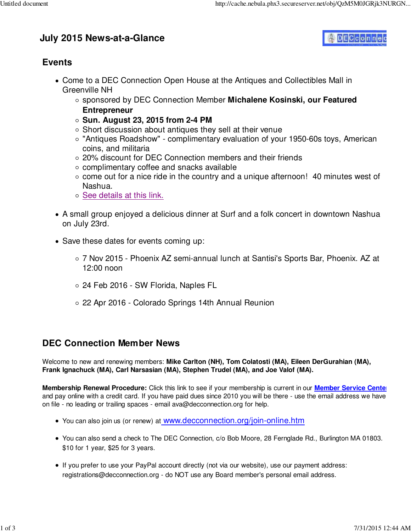# **July 2015 News-at-a-Glance**



#### **Events**

- Come to a DEC Connection Open House at the Antiques and Collectibles Mall in Greenville NH
	- sponsored by DEC Connection Member **Michalene Kosinski, our Featured Entrepreneur**
	- **Sun. August 23, 2015 from 2-4 PM**
	- $\circ$  Short discussion about antiques they sell at their venue
	- "Antiques Roadshow" complimentary evaluation of your 1950-60s toys, American coins, and militaria
	- 20% discount for DEC Connection members and their friends
	- $\circ$  complimentary coffee and snacks available
	- $\circ$  come out for a nice ride in the country and a unique afternoon! 40 minutes west of Nashua.
	- o See details at this link.
- A small group enjoyed a delicious dinner at Surf and a folk concert in downtown Nashua on July 23rd.
- Save these dates for events coming up:
	- 7 Nov 2015 Phoenix AZ semi-annual lunch at Santisi's Sports Bar, Phoenix. AZ at 12:00 noon
	- 24 Feb 2016 SW Florida, Naples FL
	- 22 Apr 2016 Colorado Springs 14th Annual Reunion

## **DEC Connection Member News**

Welcome to new and renewing members: **Mike Carlton (NH), Tom Colatosti (MA), Eileen DerGurahian (MA), Frank Ignachuck (MA), Carl Narsasian (MA), Stephen Trudel (MA), and Joe Valof (MA).**

**Membership Renewal Procedure:** Click this link to see if your membership is current in our **Member Service Center** and pay online with a credit card. If you have paid dues since 2010 you will be there - use the email address we have on file - no leading or trailing spaces - email ava@decconnection.org for help.

- You can also join us (or renew) at www.decconnection.org/join-online.htm
- You can also send a check to The DEC Connection, c/o Bob Moore, 28 Fernglade Rd., Burlington MA 01803. \$10 for 1 year, \$25 for 3 years.
- If you prefer to use your PayPal account directly (not via our website), use our payment address: registrations@decconnection.org - do NOT use any Board member's personal email address.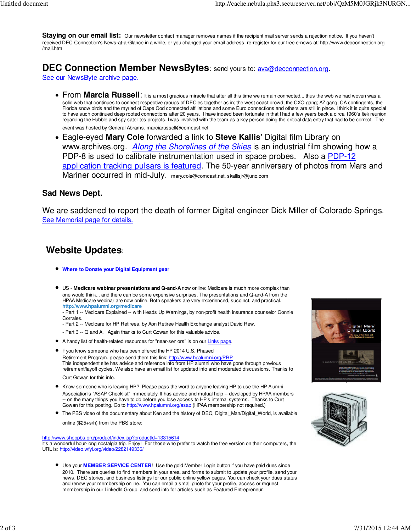Staying on our email list: Our newsletter contact manager removes names if the recipient mail server sends a rejection notice. If you haven't received DEC Connection's News-at-a-Glance in a while, or you changed your email address, re-register for our free e-news at: http://www.decconnection.org /mail.htm

# **DEC Connection Member NewsBytes:** send yours to: **ava@decconnection.org.**

See our NewsByte archive page.

**From Marcia Russell:** It is a most gracious miracle that after all this time we remain connected... thus the web we had woven was a solid web that continues to connect respective groups of DECies together as in; the west coast crowd; the CXO gang; AZ gang; CA contingents, the Florida snow birds and the myriad of Cape Cod connected affiliations and some Euro connections and others are still in place. I think it is quite special to have such continued deep rooted connections after 20 years. I have indeed been fortunate in that I had a few years back a circa 1960's Itek reunion regarding the Hubble and spy satellites projects. I was involved with the team as a key person doing the critical data entry that had to be correct. The

event was hosted by General Abrams. marciarussell@comcast.net

Eagle-eyed **Mary Cole** forwarded a link to **Steve Kallis'** Digital film Library on www.archives.org. **Along the Shorelines of the Skies** is an industrial film showing how a PDP-8 is used to calibrate instrumentation used in space probes. Also a PDP-12 application tracking pulsars is featured. The 50-year anniversary of photos from Mars and Mariner occurred in mid-July. mary.cole@comcast.net, skallisjr@juno.com

#### **Sad News Dept.**

We are saddened to report the death of former Digital engineer Dick Miller of Colorado Springs. See Memorial page for details.

## **Website Updates**:

- **Where to Donate your Digital Equipment gear**
- US - **Medicare webinar presentations and Q-and-A** now online: Medicare is much more complex than one would think... and there can be some expensive surprises. The presentations and Q-and-A from the HPAA Medicare webinar are now online. Both speakers are very experienced, succinct, and practical. **http://www.hpalumni.org/medicare**
	- Part 1 -- Medicare Explained -- with Heads Up Warnings, by non-profit health insurance counselor Connie Corrales.
	- Part 2 -- Medicare for HP Retirees, by Aon Retiree Health Exchange analyst David Rew.
	- Part 3 -- Q and A. Again thanks to Curt Gowan for this valuable advice.
- A handy list of health-related resources for "near-seniors" is on our Links page.
- If you know someone who has been offered the HP 2014 U.S. Phased

Retirement Program, please send them this link: http://www.hpalumni.org/PRP This independent site has advice and reference info from HP alumni who have gone through previous retirement/layoff cycles. We also have an email list for updated info and moderated discussions. Thanks to

- Curt Gowan for this info.
- Know someone who is leaving HP? Please pass the word to anyone leaving HP to use the HP Alumni Association's "ASAP Checklist" immediately. It has advice and mutual help -- developed by HPAA members -- on the many things you have to do before you lose access to HP's internal systems. Thanks to Curt Gowan for this posting. Go to http://www.hpalumni.org/asap (HPAA membership not required.)
- The PBS video of the documentary about Ken and the history of DEC, Digital Man/Digital World, is available

online (\$25+s/h) from the PBS store:

http://www.shoppbs.org/product/index.jsp?productId=13315614

It's a wonderful hour-long nostalgia trip. Enjoy! For those who prefer to watch the free version on their computers, the URL is: http://video.wfyi.org/video/2282149336/

Use your **MEMBER SERVICE CENTER**! Use the gold Member Login button if you have paid dues since 2010. There are queries to find members in your area, and forms to submit to update your profile, send your news, DEC stories, and business listings for our public online yellow pages. You can check your dues status and renew your membership online. You can email a small photo for your profile, access or request membership in our LinkedIn Group, and send info for articles such as Featured Entrepreneur.